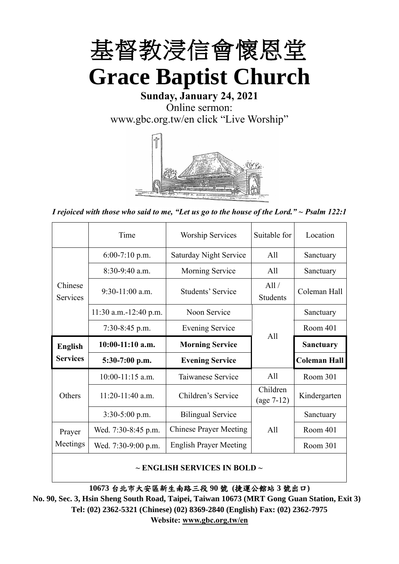

**Sunday, January 24, 2021** Online sermon: [www.gbc.org.tw/en](http://www.gbc.org.tw/en) click "Live Worship"



*I rejoiced with those who said to me, "Let us go to the house of the Lord." ~ Psalm 122:1*

|                            | Time                                       | <b>Worship Services</b>       | Suitable for             | Location            |
|----------------------------|--------------------------------------------|-------------------------------|--------------------------|---------------------|
|                            | $6:00-7:10$ p.m.                           | <b>Saturday Night Service</b> | All                      | Sanctuary           |
|                            | $8:30-9:40$ a.m.<br><b>Morning Service</b> |                               | All                      | Sanctuary           |
| Chinese<br><b>Services</b> | $9:30-11:00$ a.m.                          | <b>Students' Service</b>      | All /<br><b>Students</b> | Coleman Hall        |
|                            | 11:30 a.m.-12:40 p.m.                      | Noon Service                  |                          | Sanctuary           |
|                            | $7:30-8:45$ p.m.                           | <b>Evening Service</b>        | All                      | Room 401            |
|                            |                                            |                               |                          |                     |
| <b>English</b>             | $10:00-11:10$ a.m.                         | <b>Morning Service</b>        |                          | <b>Sanctuary</b>    |
| <b>Services</b>            | $5:30-7:00$ p.m.                           | <b>Evening Service</b>        |                          | <b>Coleman Hall</b> |
|                            | $10:00-11:15$ a.m.                         | Taiwanese Service             | All                      | Room 301            |
| Others                     | $11:20-11:40$ a.m.                         | Children's Service            | Children<br>$(age 7-12)$ | Kindergarten        |
|                            | $3:30-5:00$ p.m.                           | <b>Bilingual Service</b>      |                          | Sanctuary           |
| Prayer                     | Wed. 7:30-8:45 p.m.                        | <b>Chinese Prayer Meeting</b> | A11                      | Room 401            |
| Meetings                   | Wed. 7:30-9:00 p.m.                        | <b>English Prayer Meeting</b> |                          | Room 301            |

#### **~ ENGLISH SERVICES IN BOLD ~**

**10673** 台北市大安區新生南路三段 **90** 號 **(**捷運公館站 **3** 號出口**)**

**No. 90, Sec. 3, Hsin Sheng South Road, Taipei, Taiwan 10673 (MRT Gong Guan Station, Exit 3) Tel: (02) 2362-5321 (Chinese) (02) 8369-2840 (English) Fax: (02) 2362-7975 Website: [www.gbc.org.tw/en](http://www.gbc.org.tw/en)**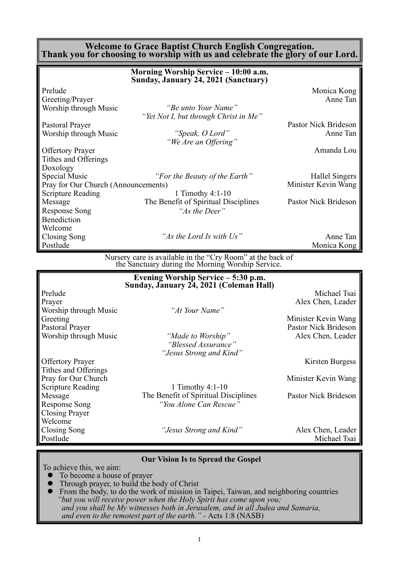**Welcome to Grace Baptist Church English Congregation. Thank you for choosing to worship with us and celebrate the glory of our Lord.**

|                                     | Morning Worship Service - 10:00 a.m.                       |                      |
|-------------------------------------|------------------------------------------------------------|----------------------|
|                                     | Sunday, January 24, 2021 (Sanctuary)                       |                      |
| Prelude                             |                                                            | Monica Kong          |
| Greeting/Prayer                     |                                                            | Anne Tan             |
| Worship through Music               | "Be unto Your Name"                                        |                      |
|                                     | "Yet Not I, but through Christ in Me"                      |                      |
| Pastoral Prayer                     |                                                            | Pastor Nick Brideson |
| Worship through Music               | "Speak, O Lord"                                            | Anne Tan             |
|                                     | "We Are an Offering"                                       |                      |
| <b>Offertory Prayer</b>             |                                                            | Amanda Lou           |
| Tithes and Offerings                |                                                            |                      |
| Doxology                            |                                                            |                      |
| Special Music                       | "For the Beauty of the Earth"                              | Hallel Singers       |
| Pray for Our Church (Announcements) |                                                            | Minister Kevin Wang  |
| <b>Scripture Reading</b>            | 1 Timothy $4:1-10$                                         |                      |
| Message                             | The Benefit of Spiritual Disciplines                       | Pastor Nick Brideson |
| <b>Response Song</b>                | "As the Deer"                                              |                      |
| Benediction                         |                                                            |                      |
| Welcome                             |                                                            |                      |
| Closing Song                        | "As the Lord Is with Us"                                   | Anne Tan             |
| Postlude                            |                                                            | Monica Kong          |
|                                     | Nursery care is available in the "Cry Room" at the back of |                      |
|                                     | the Sanctuary during the Morning Worship Service.          |                      |

|                          | Evening Worship Service – 5:30 p.m.<br>Sunday, January 24, 2021 (Coleman Hall) |                             |
|--------------------------|--------------------------------------------------------------------------------|-----------------------------|
| Prelude                  |                                                                                | Michael Tsai                |
| Prayer                   |                                                                                | Alex Chen, Leader           |
| Worship through Music    | "At Your Name"                                                                 |                             |
| Greeting                 |                                                                                | Minister Kevin Wang         |
| Pastoral Prayer          |                                                                                | <b>Pastor Nick Brideson</b> |
| Worship through Music    | "Made to Worship"                                                              | Alex Chen, Leader           |
|                          | "Blessed Assurance"                                                            |                             |
|                          | "Jesus Strong and Kind"                                                        |                             |
| <b>Offertory Prayer</b>  |                                                                                | Kirsten Burgess             |
| Tithes and Offerings     |                                                                                |                             |
| Pray for Our Church      |                                                                                | Minister Kevin Wang         |
| <b>Scripture Reading</b> | 1 Timothy $4:1-10$                                                             |                             |
| Message                  | The Benefit of Spiritual Disciplines                                           | Pastor Nick Brideson        |
| Response Song            | "You Alone Can Rescue"                                                         |                             |
| <b>Closing Prayer</b>    |                                                                                |                             |
| Welcome                  |                                                                                |                             |
| Closing Song             | "Jesus Strong and Kind"                                                        | Alex Chen, Leader           |
| Postlude                 |                                                                                | Michael Tsai                |
|                          |                                                                                |                             |

#### **Our Vision Is to Spread the Gospel**

To achieve this, we aim:

- ⚫ To become a house of prayer
- ⚫ Through prayer, to build the body of Christ
- ⚫ From the body, to do the work of mission in Taipei, Taiwan, and neighboring countries *"but you will receive power when the Holy Spirit has come upon you; and you shall be My witnesses both in Jerusalem, and in all Judea and Samaria, and even to the remotest part of the earth." -* Acts 1:8 (NASB)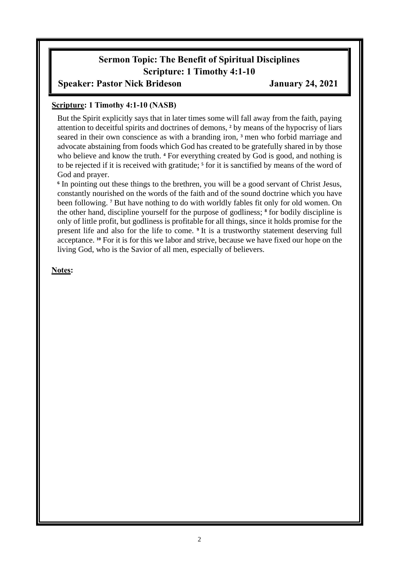## **Sermon Topic: The Benefit of Spiritual Disciplines Scripture: 1 Timothy 4:1-10**

## **Speaker: Pastor Nick Brideson January 24, 2021**

#### **Scripture: 1 Timothy 4:1-10 (NASB)**

But the Spirit explicitly says that in later times some will fall away from the faith, paying attention to deceitful spirits and doctrines of demons, **<sup>2</sup>** by means of the hypocrisy of liars seared in their own conscience as with a branding iron, **<sup>3</sup>** men who forbid marriage and advocate abstaining from foods which God has created to be gratefully shared in by those who believe and know the truth. <sup>4</sup> For everything created by God is good, and nothing is to be rejected if it is received with gratitude; **<sup>5</sup>** for it is sanctified by means of the word of God and prayer.

<sup>6</sup> In pointing out these things to the brethren, you will be a good servant of Christ Jesus, constantly nourished on the words of the faith and of the sound doctrine which you have been following. **<sup>7</sup>** But have nothing to do with worldly fables fit only for old women. On the other hand, discipline yourself for the purpose of godliness; **<sup>8</sup>** for bodily discipline is only of little profit, but godliness is profitable for all things, since it holds promise for the present life and also for the life to come. **<sup>9</sup>** It is a trustworthy statement deserving full acceptance. **<sup>10</sup>** For it is for this we labor and strive, because we have fixed our hope on the living God, who is the Savior of all men, especially of believers.

**Notes:**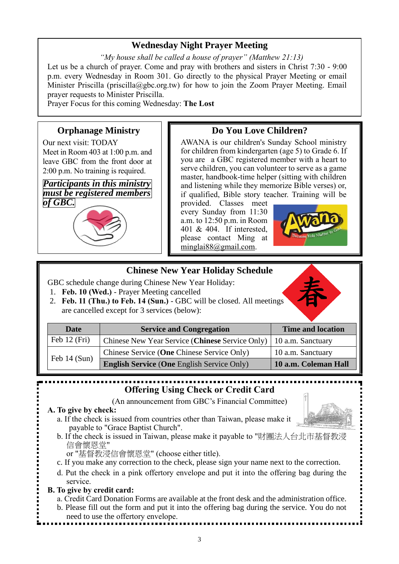## **Wednesday Night Prayer Meeting**

*"My house shall be called a house of prayer" (Matthew 21:13)* Let us be a church of prayer. Come and pray with brothers and sisters in Christ 7:30 - 9:00 p.m. every Wednesday in Room 301. Go directly to the physical Prayer Meeting or email Minister Priscilla (priscilla@gbc.org.tw) for how to join the Zoom Prayer Meeting. Email prayer requests to Minister Priscilla.

Prayer Focus for this coming Wednesday: **The Lost**

## **Orphanage Ministry**

Our next visit: TODAY Meet in Room 403 at 1:00 p.m. and leave GBC from the front door at 2:00 p.m. No training is required.

*Participants in this ministry must be registered members of GBC.*



## **Do You Love Children?**

AWANA is our children's Sunday School ministry for children from kindergarten (age 5) to Grade 6. If you are a GBC registered member with a heart to serve children, you can volunteer to serve as a game master, handbook-time helper (sitting with children and listening while they memorize Bible verses) or, if qualified, Bible story teacher. Training will be

provided. Classes meet every Sunday from 11:30 a.m. to 12:50 p.m. in Room 401 & 404. If interested, please contact Ming at [minglai88@gmail.com.](mailto:minglai88@gmail.com)



## **Chinese New Year Holiday Schedule**

GBC schedule change during Chinese New Year Holiday:

- 1. **Feb. 10 (Wed.)** Prayer Meeting cancelled
- 2. **Feb. 11 (Thu.) to Feb. 14 (Sun.)** GBC will be closed. All meetings are cancelled except for 3 services (below):

| <b>Date</b>    | <b>Service and Congregation</b>                                     | <b>Time and location</b> |
|----------------|---------------------------------------------------------------------|--------------------------|
| Feb $12$ (Fri) | Chinese New Year Service (Chinese Service Only)   10 a.m. Sanctuary |                          |
| Feb $14$ (Sun) | Chinese Service (One Chinese Service Only)                          | 10 a.m. Sanctuary        |
|                | <b>English Service (One English Service Only)</b>                   | 10 a.m. Coleman Hall     |

# **Offering Using Check or Credit Card**

(An announcement from GBC's Financial Committee)

- **A. To give by check:** 
	- a. If the check is issued from countries other than Taiwan, please make it payable to "Grace Baptist Church".
	- b. If the check is issued in Taiwan, please make it payable to "財團法人台北市基督教浸 信會懷恩堂"
		- or "基督教浸信會懷恩堂" (choose either title).
	- c. If you make any correction to the check, please sign your name next to the correction.
	- d. Put the check in a pink offertory envelope and put it into the offering bag during the service.

#### **B. To give by credit card:**

- a. Credit Card Donation Forms are available at the front desk and the administration office.
- b. Please fill out the form and put it into the offering bag during the service. You do not need to use the offertory envelope.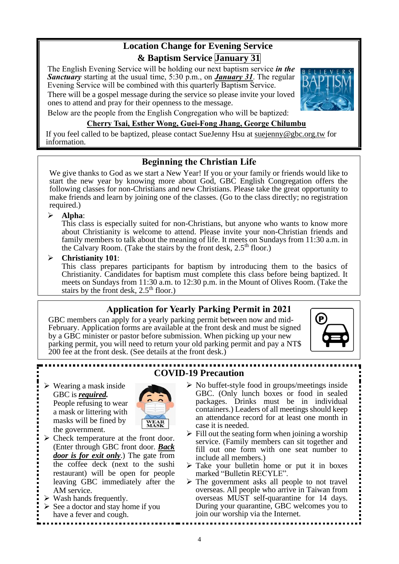## **Location Change for Evening Service & Baptism Service January 31**

The English Evening Service will be holding our next baptism service *in the Sanctuary* starting at the usual time, 5:30 p.m., on *January 31*. The regular Evening Service will be combined with this quarterly Baptism Service.

There will be a gospel message during the service so please invite your loved ones to attend and pray for their openness to the message.



#### **Cherry Tsai, Esther Wong, Guei-Fong Jhang, George Chilumbu**

If you feel called to be baptized, please contact SueJenny Hsu at [suejenny@gbc.org.tw](mailto:suejenny@gbc.org.tw) for information.

### **Beginning the Christian Life**

We give thanks to God as we start a New Year! If you or your family or friends would like to start the new year by knowing more about God, GBC English Congregation offers the following classes for non-Christians and new Christians. Please take the great opportunity to make friends and learn by joining one of the classes. (Go to the class directly; no registration required.)

#### ➢ **Alpha**:

This class is especially suited for non-Christians, but anyone who wants to know more about Christianity is welcome to attend. Please invite your non-Christian friends and family members to talk about the meaning of life. It meets on Sundays from 11:30 a.m. in the Calvary Room. (Take the stairs by the front desk, 2.5<sup>th</sup> floor.)

#### ➢ **Christianity 101**:

This class prepares participants for baptism by introducing them to the basics of Christianity. Candidates for baptism must complete this class before being baptized. It meets on Sundays from 11:30 a.m. to 12:30 p.m. in the Mount of Olives Room. (Take the stairs by the front desk,  $2.5<sup>th</sup>$  floor.)

## **Application for Yearly Parking Permit in 2021**

GBC members can apply for a yearly parking permit between now and mid-February. Application forms are available at the front desk and must be signed by a GBC minister or pastor before submission. When picking up your new parking permit, you will need to return your old parking permit and pay a NT\$ 200 fee at the front desk. (See details at the front desk.)



 $\triangleright$  Wearing a mask inside GBC is *required.* People refusing to wear a mask or littering with masks will be fined by the government.



- ➢ Check temperature at the front door. (Enter through GBC front door. *Back door is for exit only*.) The gate from the coffee deck (next to the sushi restaurant) will be open for people leaving GBC immediately after the AM service.
- $\triangleright$  Wash hands frequently.
- $\triangleright$  See a doctor and stay home if you have a fever and cough.

## **COVID-19 Precaution**

- $\triangleright$  No buffet-style food in groups/meetings inside GBC. (Only lunch boxes or food in sealed packages. Drinks must be in individual containers.) Leaders of all meetings should keep an attendance record for at least one month in case it is needed.
- $\triangleright$  Fill out the seating form when joining a worship service. (Family members can sit together and fill out one form with one seat number to include all members.)
- $\triangleright$  Take your bulletin home or put it in boxes marked "Bulletin RECYLE".
- ➢ The government asks all people to not travel overseas. All people who arrive in Taiwan from overseas MUST self-quarantine for 14 days. During your quarantine, GBC welcomes you to join our worship via the Internet.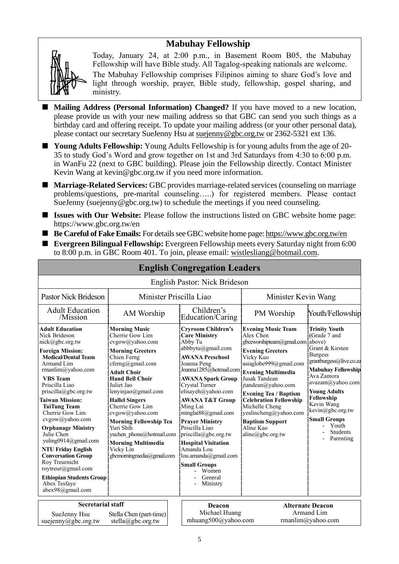## **Mabuhay Fellowship**



Today, January 24, at 2:00 p.m., in Basement Room B05, the Mabuhay Fellowship will have Bible study. All Tagalog-speaking nationals are welcome. The Mabuhay Fellowship comprises Filipinos aiming to share God's love and light through worship, prayer, Bible study, fellowship, gospel sharing, and ministry.

- **Mailing Address (Personal Information) Changed?** If you have moved to a new location, please provide us with your new mailing address so that GBC can send you such things as a birthday card and offering receipt. To update your mailing address (or your other personal data), please contact our secretary SueJenny Hsu at [suejenny@gbc.org.tw](mailto:suejenny@gbc.org.tw) or 2362-5321 ext 136.
- Young Adults Fellowship: Young Adults Fellowship is for young adults from the age of 20-35 to study God's Word and grow together on 1st and 3rd Saturdays from 4:30 to 6:00 p.m. in WanFu 22 (next to GBC building). Please join the Fellowship directly. Contact Minister Kevin Wang at kevin@gbc.org.tw if you need more information.
- **Marriage-Related Services:** GBC provides marriage-related services (counseling on marriage problems/questions, pre-marital counseling…..) for registered members. Please contact SueJenny (suejenny  $\ddot{\varphi}$  gbc.org.tw) to schedule the meetings if you need counseling.
- **Issues with Our Website:** Please follow the instructions listed on GBC website home page: https://www.gbc.org.tw/en
- **Be Careful of Fake Emails:** For details see GBC website home page[: https://www.gbc.org.tw/en](https://www.gbc.org.tw/en)
- **Evergreen Bilingual Fellowship:** Evergreen Fellowship meets every Saturday night from 6:00 to 8:00 p.m. in GBC Room 401. To join, please email: [wistlesliang@hotmail.com.](mailto:wistlesliang@hotmail.com)

|                                                                                                                                                                                                                                                                                                                                                                                                                                                                                                                                                                                                                                                                                                                                                                                                                                                                                                                                                                                                     | English Pastor: Nick Brideson                                                                                                                                                                                                                                                                                                                                                                                                                                                                                   |                                                                                                                                                                                                                                                                                                                                                            |                                                                                                                                                                                                                                                                                                            |
|-----------------------------------------------------------------------------------------------------------------------------------------------------------------------------------------------------------------------------------------------------------------------------------------------------------------------------------------------------------------------------------------------------------------------------------------------------------------------------------------------------------------------------------------------------------------------------------------------------------------------------------------------------------------------------------------------------------------------------------------------------------------------------------------------------------------------------------------------------------------------------------------------------------------------------------------------------------------------------------------------------|-----------------------------------------------------------------------------------------------------------------------------------------------------------------------------------------------------------------------------------------------------------------------------------------------------------------------------------------------------------------------------------------------------------------------------------------------------------------------------------------------------------------|------------------------------------------------------------------------------------------------------------------------------------------------------------------------------------------------------------------------------------------------------------------------------------------------------------------------------------------------------------|------------------------------------------------------------------------------------------------------------------------------------------------------------------------------------------------------------------------------------------------------------------------------------------------------------|
| Pastor Nick Brideson                                                                                                                                                                                                                                                                                                                                                                                                                                                                                                                                                                                                                                                                                                                                                                                                                                                                                                                                                                                | Minister Priscilla Liao                                                                                                                                                                                                                                                                                                                                                                                                                                                                                         | Minister Kevin Wang                                                                                                                                                                                                                                                                                                                                        |                                                                                                                                                                                                                                                                                                            |
| <b>Adult Education</b><br>AM Worship<br>/Mission                                                                                                                                                                                                                                                                                                                                                                                                                                                                                                                                                                                                                                                                                                                                                                                                                                                                                                                                                    | Children's<br>Education/Caring                                                                                                                                                                                                                                                                                                                                                                                                                                                                                  | PM Worship                                                                                                                                                                                                                                                                                                                                                 | Youth/Fellowship                                                                                                                                                                                                                                                                                           |
| <b>Adult Education</b><br><b>Morning Music</b><br>Nick Brideson<br>Cherrie Gow Lim<br>nick@gbc.org.tw<br>cvgow@yahoo.com<br><b>Foreign Mission:</b><br><b>Morning Greeters</b><br><b>Medical/Dental Team</b><br>Chien Ferng<br>cferng@gmail.com<br>Armand Lim<br>rmanlim@yahoo.com<br><b>Adult Choir</b><br><b>Hand Bell Choir</b><br><b>VBS</b> Team<br>Priscilla Liao<br>Juliet Jao<br>$priscilla(\partial gbc.org.tw)$<br>lenyinjao@gmail.com<br><b>Taiwan Mission:</b><br><b>Hallel Singers</b><br>Cherrie Gow Lim<br><b>TaiTung Team</b><br>Cherrie Gow Lim<br>cvgow@yahoo.com<br>cvgow@yahoo.com<br><b>Morning Fellowship Tea</b><br>Yuri Shih<br><b>Orphanage Ministry</b><br>Julie Chen<br>yuchen phone@hotmail.com<br>yuling0914@gmail.com<br><b>Morning Multimedia</b><br><b>NTU Friday English</b><br>Vicky Lin<br>gbcmorningmedia@gmail.com<br><b>Conversation Group</b><br>Roy Treurnicht<br>roytreur@gmail.com<br><b>Ethiopian Students Group</b><br>Abex Tesfaye<br>abex98@gmail.com | <b>Cryroom Children's</b><br><b>Care Ministry</b><br>Abby Tu<br>abbbytu@gmail.com<br><b>AWANA Preschool</b><br>Joanna Peng<br>Joanna1285@hotmail.com Evening Multimedia<br><b>AWANA Spark Group</b><br>Crystal Turner<br>elisayeh@yahoo.com<br><b>AWANA T&amp;T Group</b><br>Ming Lai<br>minglai $88$ @gmail.com<br><b>Prayer Ministry</b><br>Priscilla Liao<br>priscilla@gbc.org.tw<br><b>Hospital Visitation</b><br>Amanda Lou<br>lou.amanda@gmail.com<br><b>Small Groups</b><br>Women<br>General<br>Ministry | <b>Evening Music Team</b><br>Alex Chen<br>gbceworshipteam@gmail.com above)<br><b>Evening Greeters</b><br>Vicky Kuo<br>asiaglobe999@gmail.com<br>Jusak Tandean<br>jtandean@yahoo.com<br><b>Evening Tea / Baptism</b><br><b>Celebration Fellowship</b><br>Michelle Cheng<br>yealincheng@yahoo.com<br><b>Baptism Support</b><br>Aline Kao<br>aline@gbc.org.tw | <b>Trinity Youth</b><br>(Grade 7 and<br>Grant & Kirsten<br><b>Burgess</b><br>grantburgess@live.co.za<br><b>Mabuhay Fellowship</b><br>Ava Zamora<br>avazam@yahoo.com<br><b>Young Adults</b><br>Fellowship<br>Kevin Wang<br>kevin@gbc.org.tw<br><b>Small Groups</b><br>Youth<br><b>Students</b><br>Parenting |
| <b>Secretarial staff</b><br>SueJenny Hsu<br>Stella Chen (part-time)<br>suejenny@gbc.org.tw<br>stella@gbc.org.tw                                                                                                                                                                                                                                                                                                                                                                                                                                                                                                                                                                                                                                                                                                                                                                                                                                                                                     | <b>Alternate Deacon</b><br>Deacon<br>Michael Huang<br>Armand Lim<br>mhuang500@yahoo.com<br>rmanlim@yahoo.com                                                                                                                                                                                                                                                                                                                                                                                                    |                                                                                                                                                                                                                                                                                                                                                            |                                                                                                                                                                                                                                                                                                            |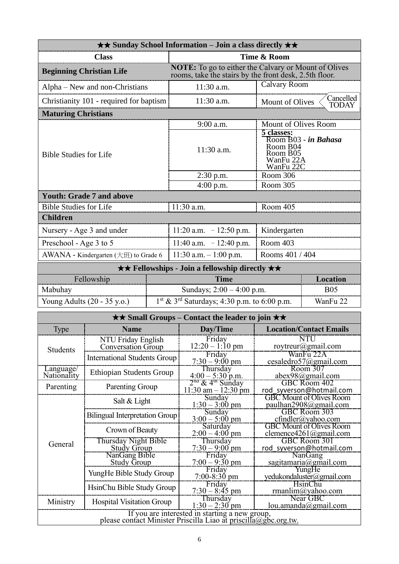| Time & Room<br><b>Class</b><br><b>NOTE:</b> To go to either the Calvary or Mount of Olives<br><b>Beginning Christian Life</b><br>rooms, take the stairs by the front desk, 2.5th floor.<br><b>Calvary Room</b> |  |
|----------------------------------------------------------------------------------------------------------------------------------------------------------------------------------------------------------------|--|
|                                                                                                                                                                                                                |  |
|                                                                                                                                                                                                                |  |
| 11:30 a.m.<br>Alpha – New and non-Christians                                                                                                                                                                   |  |
| Cancelled<br>11:30 a.m.<br>Christianity 101 - required for baptism<br>Mount of Olives<br><b>TODAY</b>                                                                                                          |  |
| <b>Maturing Christians</b>                                                                                                                                                                                     |  |
| 9:00 a.m.<br>Mount of Olives Room                                                                                                                                                                              |  |
| 5 classes:<br>Room B03 - in Bahasa<br>Room B04<br>11:30 a.m.<br>Room B05<br><b>Bible Studies for Life</b><br>WanFu 22A<br>WanFu 22C<br>Room 306<br>$2:30$ p.m.                                                 |  |
| Room 305<br>$4:00$ p.m.                                                                                                                                                                                        |  |
| <b>Youth: Grade 7 and above</b>                                                                                                                                                                                |  |
| $11:30$ a.m.<br><b>Bible Studies for Life</b><br>Room 405                                                                                                                                                      |  |
| <b>Children</b>                                                                                                                                                                                                |  |
| Nursery - Age 3 and under<br>11:20 a.m. $-12:50$ p.m.<br>Kindergarten                                                                                                                                          |  |
| Room 403<br>Preschool - Age 3 to 5<br>11:40 a.m. $-12:40$ p.m.                                                                                                                                                 |  |
| $11:30$ a.m. $-1:00$ p.m.<br>Rooms 401 / 404<br>AWANA - Kindergarten $(\pm \text{H})$ to Grade 6                                                                                                               |  |
| <b>★★ Fellowships - Join a fellowship directly ★★</b>                                                                                                                                                          |  |
| <b>Time</b><br>Fellowship<br>Location                                                                                                                                                                          |  |
| Sundays; $2:00 - 4:00$ p.m.<br><b>B05</b><br>Mabuhay                                                                                                                                                           |  |
| $1^{st}$ & $3^{rd}$ Saturdays; 4:30 p.m. to 6:00 p.m.<br>Young Adults (20 - 35 y.o.)<br>WanFu 22                                                                                                               |  |
| $\star\star$ Small Groups – Contact the leader to join $\star\star$                                                                                                                                            |  |
| <b>Location/Contact Emails</b><br><b>Name</b><br>Day/Time<br>Type                                                                                                                                              |  |
| Friday<br>NTU Friday English<br><b>NTU</b><br>$12:20 - 1:10$ pm<br>roytreur@gmail.com<br><b>Conversation Group</b><br>Students                                                                                 |  |
| WanFu 22A<br>Friday<br><b>International Students Group</b><br>$7:30 - 9:00 \text{ pm}$<br>cesaledro57@gmail.com                                                                                                |  |
| Thursday<br>Room 307<br>Language/<br><b>Ethiopian Students Group</b><br>Nationality                                                                                                                            |  |
| $4:00-5:30$ p.m.<br>$2^{\text{na}}$ & 4 <sup>m</sup> Sunday<br>11:30 am - 12:30 pm<br>abex98@gmail.com<br>GBC Room 402<br>Parenting<br>Parenting Group                                                         |  |
| rod syverson@hotmail.com<br>Sunday<br><b>GBC Mount of Olives Room</b>                                                                                                                                          |  |
| Salt & Light<br>$1:30 - 3:00$ pm<br>paulhan2908@gmail.com<br>GBC Room 303<br>Sunday                                                                                                                            |  |
| <b>Bilingual Interpretation Group</b><br>$3:00 - 5:00$ pm<br>cfindler@yahoo.com<br><b>GBC Mount of Olives Room</b><br>Saturday                                                                                 |  |
| Crown of Beauty<br>$2:00 - 4:00$ pm<br>clemence4261@gmail.com                                                                                                                                                  |  |
| Thursday Night Bible<br>GBC Room 301<br>Thursday<br>General<br>$7:30 - 9:00$ pm<br><b>Study Group</b><br>rod_syverson@hotmail.com                                                                              |  |
| NanGang Bible<br>Friday<br><b>NanGang</b><br><b>Study Group</b><br>$7:00 - 9:30$ pm<br>sagitamaria@gmail.com                                                                                                   |  |
| Friday<br>YungHe<br>YungHe Bible Study Group<br>$7:00-8:30$ pm<br>yedukondaluster@gmail.com                                                                                                                    |  |
| <b>HsinChu</b><br>Friday<br>HsinChu Bible Study Group<br>$7:30 - 8:45$ pm<br>rmanlim@yahoo.com                                                                                                                 |  |
| Near GBC<br>Thursday<br>Ministry<br><b>Hospital Visitation Group</b><br>$1:30 - 2:30$ pm<br>lou. amanda@gmail.com                                                                                              |  |
| If you are interested in starting a new group,<br>please contact Minister Priscilla Liao at priscilla@gbc.org.tw.                                                                                              |  |